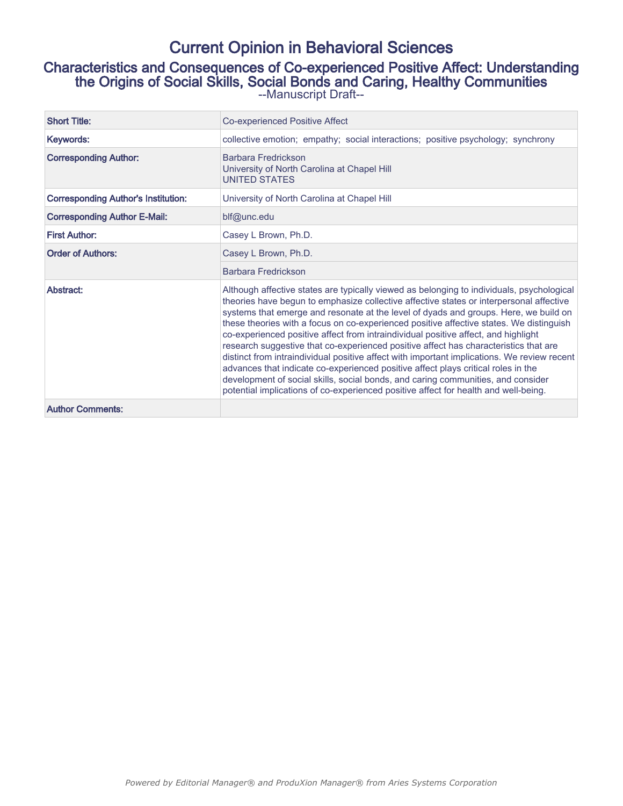# Current Opinion in Behavioral Sciences

Characteristics and Consequences of Co-experienced Positive Affect: Understanding the Origins of Social Skills, Social Bonds and Caring, Healthy Communities --Manuscript Draft--

| <b>Short Title:</b>                        | Co-experienced Positive Affect                                                                                                                                                                                                                                                                                                                                                                                                                                                                                                                                                                                                                                                                                                                                                                                                                                                                                       |
|--------------------------------------------|----------------------------------------------------------------------------------------------------------------------------------------------------------------------------------------------------------------------------------------------------------------------------------------------------------------------------------------------------------------------------------------------------------------------------------------------------------------------------------------------------------------------------------------------------------------------------------------------------------------------------------------------------------------------------------------------------------------------------------------------------------------------------------------------------------------------------------------------------------------------------------------------------------------------|
| Keywords:                                  | collective emotion; empathy; social interactions; positive psychology; synchrony                                                                                                                                                                                                                                                                                                                                                                                                                                                                                                                                                                                                                                                                                                                                                                                                                                     |
| <b>Corresponding Author:</b>               | Barbara Fredrickson<br>University of North Carolina at Chapel Hill<br><b>UNITED STATES</b>                                                                                                                                                                                                                                                                                                                                                                                                                                                                                                                                                                                                                                                                                                                                                                                                                           |
| <b>Corresponding Author's Institution:</b> | University of North Carolina at Chapel Hill                                                                                                                                                                                                                                                                                                                                                                                                                                                                                                                                                                                                                                                                                                                                                                                                                                                                          |
| <b>Corresponding Author E-Mail:</b>        | blf@unc.edu                                                                                                                                                                                                                                                                                                                                                                                                                                                                                                                                                                                                                                                                                                                                                                                                                                                                                                          |
| <b>First Author:</b>                       | Casey L Brown, Ph.D.                                                                                                                                                                                                                                                                                                                                                                                                                                                                                                                                                                                                                                                                                                                                                                                                                                                                                                 |
| <b>Order of Authors:</b>                   | Casey L Brown, Ph.D.                                                                                                                                                                                                                                                                                                                                                                                                                                                                                                                                                                                                                                                                                                                                                                                                                                                                                                 |
|                                            | Barbara Fredrickson                                                                                                                                                                                                                                                                                                                                                                                                                                                                                                                                                                                                                                                                                                                                                                                                                                                                                                  |
| Abstract:                                  | Although affective states are typically viewed as belonging to individuals, psychological<br>theories have begun to emphasize collective affective states or interpersonal affective<br>systems that emerge and resonate at the level of dyads and groups. Here, we build on<br>these theories with a focus on co-experienced positive affective states. We distinguish<br>co-experienced positive affect from intraindividual positive affect, and highlight<br>research suggestive that co-experienced positive affect has characteristics that are<br>distinct from intraindividual positive affect with important implications. We review recent<br>advances that indicate co-experienced positive affect plays critical roles in the<br>development of social skills, social bonds, and caring communities, and consider<br>potential implications of co-experienced positive affect for health and well-being. |
| <b>Author Comments:</b>                    |                                                                                                                                                                                                                                                                                                                                                                                                                                                                                                                                                                                                                                                                                                                                                                                                                                                                                                                      |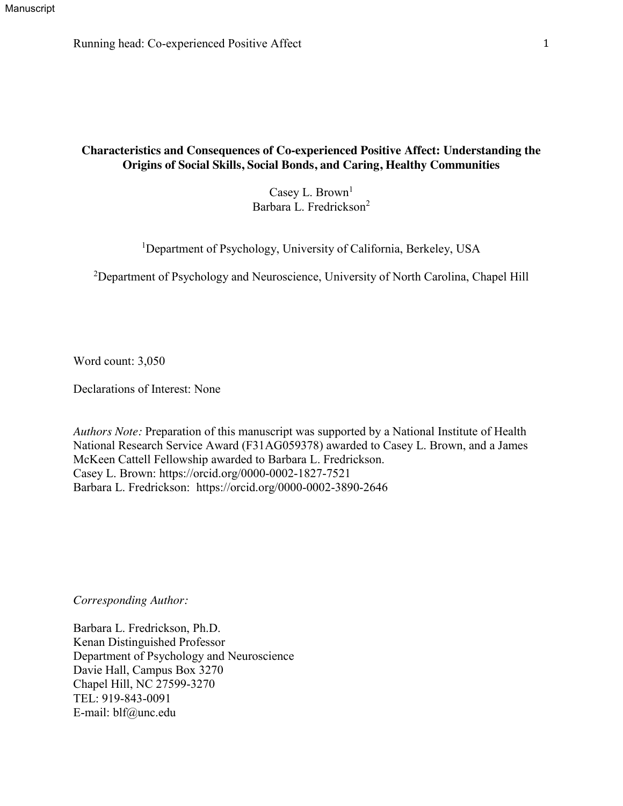Running head: Co-experienced Positive Affect 1

# **Characteristics and Consequences of Co-experienced Positive Affect: Understanding the Origins of Social Skills, Social Bonds, and Caring, Healthy Communities**

Casey L. Brown<sup>1</sup> Barbara L. Fredrickson<sup>2</sup>

<sup>1</sup>Department of Psychology, University of California, Berkeley, USA

<sup>2</sup>Department of Psychology and Neuroscience, University of North Carolina, Chapel Hill

Word count: 3,050

Declarations of Interest: None

*Authors Note:* Preparation of this manuscript was supported by a National Institute of Health National Research Service Award (F31AG059378) awarded to Casey L. Brown, and a James McKeen Cattell Fellowship awarded to Barbara L. Fredrickson. Casey L. Brown: https://orcid.org/0000-0002-1827-7521 Barbara L. Fredrickson: https://orcid.org/0000-0002-3890-2646

*Corresponding Author:*

Barbara L. Fredrickson, Ph.D. Kenan Distinguished Professor Department of Psychology and Neuroscience Davie Hall, Campus Box 3270 Chapel Hill, NC 27599-3270 TEL: 919-843-0091 E-mail: blf@unc.edu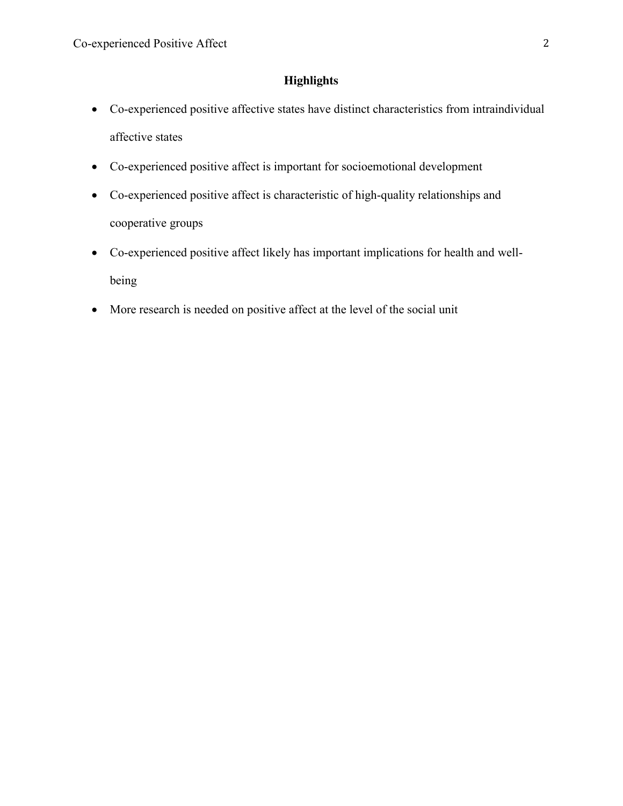# **Highlights**

- Co-experienced positive affective states have distinct characteristics from intraindividual affective states
- Co-experienced positive affect is important for socioemotional development
- Co-experienced positive affect is characteristic of high-quality relationships and cooperative groups
- Co-experienced positive affect likely has important implications for health and wellbeing
- More research is needed on positive affect at the level of the social unit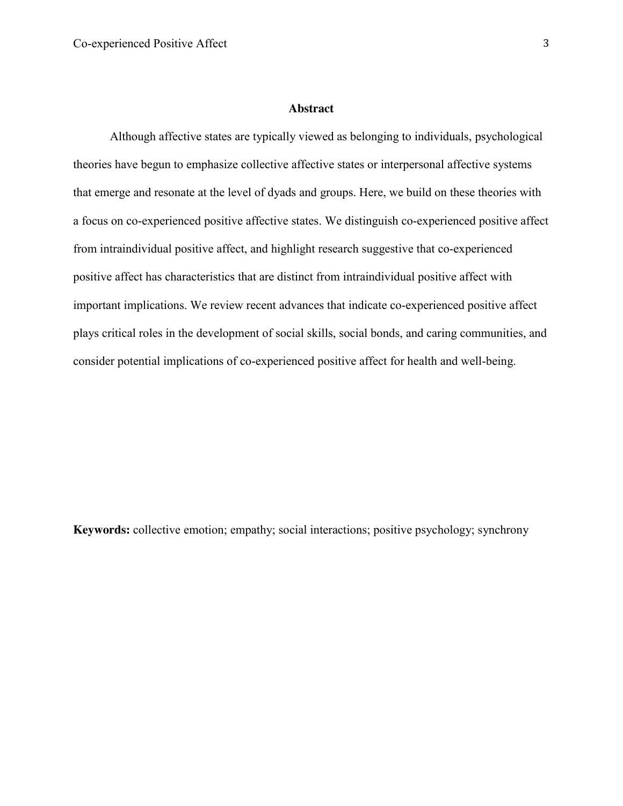#### **Abstract**

Although affective states are typically viewed as belonging to individuals, psychological theories have begun to emphasize collective affective states or interpersonal affective systems that emerge and resonate at the level of dyads and groups. Here, we build on these theories with a focus on co-experienced positive affective states. We distinguish co-experienced positive affect from intraindividual positive affect, and highlight research suggestive that co-experienced positive affect has characteristics that are distinct from intraindividual positive affect with important implications. We review recent advances that indicate co-experienced positive affect plays critical roles in the development of social skills, social bonds, and caring communities, and consider potential implications of co-experienced positive affect for health and well-being.

**Keywords:** collective emotion; empathy; social interactions; positive psychology; synchrony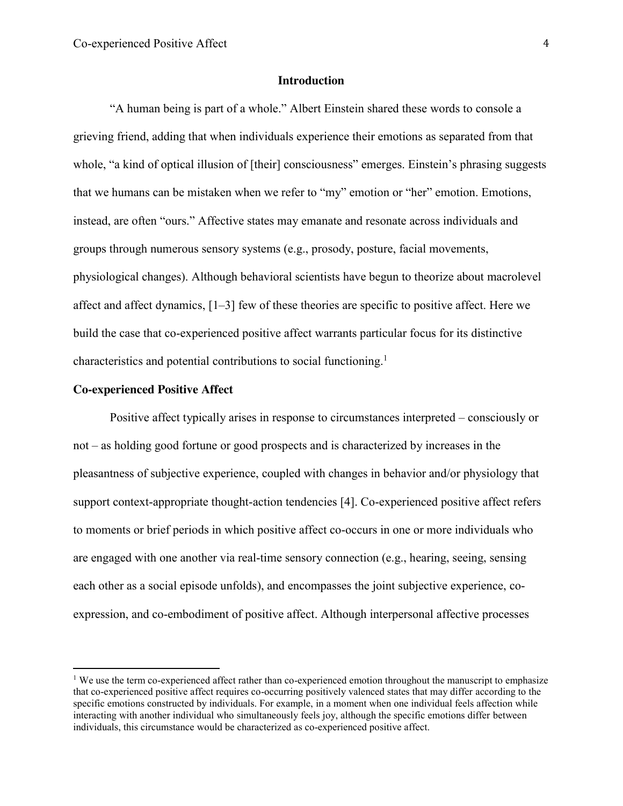### **Introduction**

"A human being is part of a whole." Albert Einstein shared these words to console a grieving friend, adding that when individuals experience their emotions as separated from that whole, "a kind of optical illusion of [their] consciousness" emerges. Einstein's phrasing suggests that we humans can be mistaken when we refer to "my" emotion or "her" emotion. Emotions, instead, are often "ours." Affective states may emanate and resonate across individuals and groups through numerous sensory systems (e.g., prosody, posture, facial movements, physiological changes). Although behavioral scientists have begun to theorize about macrolevel affect and affect dynamics, [1–3] few of these theories are specific to positive affect. Here we build the case that co-experienced positive affect warrants particular focus for its distinctive characteristics and potential contributions to social functioning. 1

#### **Co-experienced Positive Affect**

Positive affect typically arises in response to circumstances interpreted – consciously or not – as holding good fortune or good prospects and is characterized by increases in the pleasantness of subjective experience, coupled with changes in behavior and/or physiology that support context-appropriate thought-action tendencies [4]. Co-experienced positive affect refers to moments or brief periods in which positive affect co-occurs in one or more individuals who are engaged with one another via real-time sensory connection (e.g., hearing, seeing, sensing each other as a social episode unfolds), and encompasses the joint subjective experience, coexpression, and co-embodiment of positive affect. Although interpersonal affective processes

<sup>&</sup>lt;sup>1</sup> We use the term co-experienced affect rather than co-experienced emotion throughout the manuscript to emphasize that co-experienced positive affect requires co-occurring positively valenced states that may differ according to the specific emotions constructed by individuals. For example, in a moment when one individual feels affection while interacting with another individual who simultaneously feels joy, although the specific emotions differ between individuals, this circumstance would be characterized as co-experienced positive affect.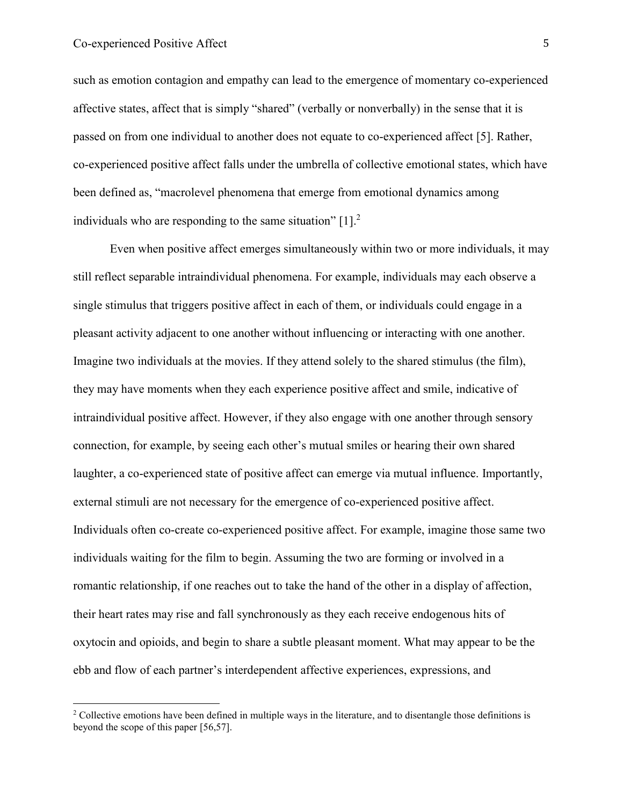such as emotion contagion and empathy can lead to the emergence of momentary co-experienced affective states, affect that is simply "shared" (verbally or nonverbally) in the sense that it is passed on from one individual to another does not equate to co-experienced affect [5]. Rather, co-experienced positive affect falls under the umbrella of collective emotional states, which have been defined as, "macrolevel phenomena that emerge from emotional dynamics among individuals who are responding to the same situation"  $[1]$ <sup>2</sup>

Even when positive affect emerges simultaneously within two or more individuals, it may still reflect separable intraindividual phenomena. For example, individuals may each observe a single stimulus that triggers positive affect in each of them, or individuals could engage in a pleasant activity adjacent to one another without influencing or interacting with one another. Imagine two individuals at the movies. If they attend solely to the shared stimulus (the film), they may have moments when they each experience positive affect and smile, indicative of intraindividual positive affect. However, if they also engage with one another through sensory connection, for example, by seeing each other's mutual smiles or hearing their own shared laughter, a co-experienced state of positive affect can emerge via mutual influence. Importantly, external stimuli are not necessary for the emergence of co-experienced positive affect. Individuals often co-create co-experienced positive affect. For example, imagine those same two individuals waiting for the film to begin. Assuming the two are forming or involved in a romantic relationship, if one reaches out to take the hand of the other in a display of affection, their heart rates may rise and fall synchronously as they each receive endogenous hits of oxytocin and opioids, and begin to share a subtle pleasant moment. What may appear to be the ebb and flow of each partner's interdependent affective experiences, expressions, and

<sup>&</sup>lt;sup>2</sup> Collective emotions have been defined in multiple ways in the literature, and to disentangle those definitions is beyond the scope of this paper [56,57].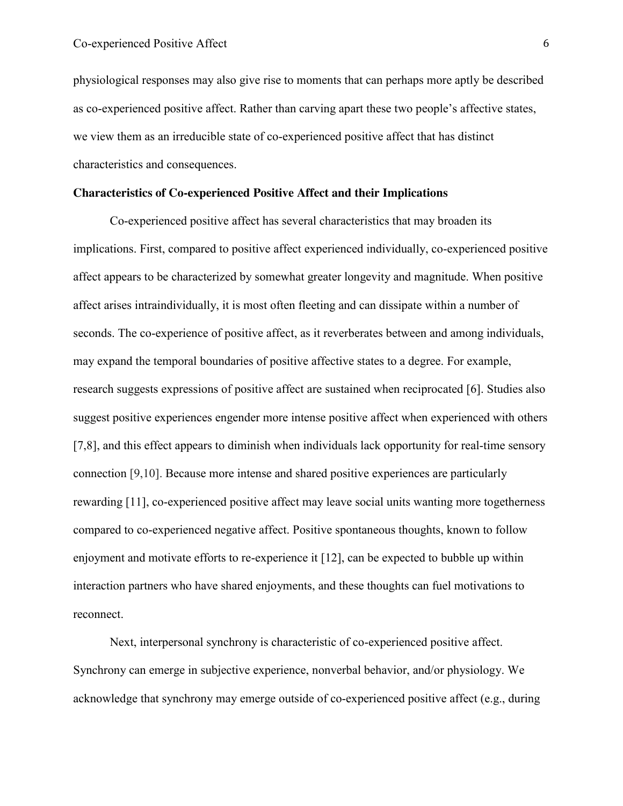physiological responses may also give rise to moments that can perhaps more aptly be described as co-experienced positive affect. Rather than carving apart these two people's affective states, we view them as an irreducible state of co-experienced positive affect that has distinct characteristics and consequences.

## **Characteristics of Co-experienced Positive Affect and their Implications**

Co-experienced positive affect has several characteristics that may broaden its implications. First, compared to positive affect experienced individually, co-experienced positive affect appears to be characterized by somewhat greater longevity and magnitude. When positive affect arises intraindividually, it is most often fleeting and can dissipate within a number of seconds. The co-experience of positive affect, as it reverberates between and among individuals, may expand the temporal boundaries of positive affective states to a degree. For example, research suggests expressions of positive affect are sustained when reciprocated [6]. Studies also suggest positive experiences engender more intense positive affect when experienced with others [7,8], and this effect appears to diminish when individuals lack opportunity for real-time sensory connection [9,10]. Because more intense and shared positive experiences are particularly rewarding [11], co-experienced positive affect may leave social units wanting more togetherness compared to co-experienced negative affect. Positive spontaneous thoughts, known to follow enjoyment and motivate efforts to re-experience it [12], can be expected to bubble up within interaction partners who have shared enjoyments, and these thoughts can fuel motivations to reconnect.

Next, interpersonal synchrony is characteristic of co-experienced positive affect. Synchrony can emerge in subjective experience, nonverbal behavior, and/or physiology. We acknowledge that synchrony may emerge outside of co-experienced positive affect (e.g., during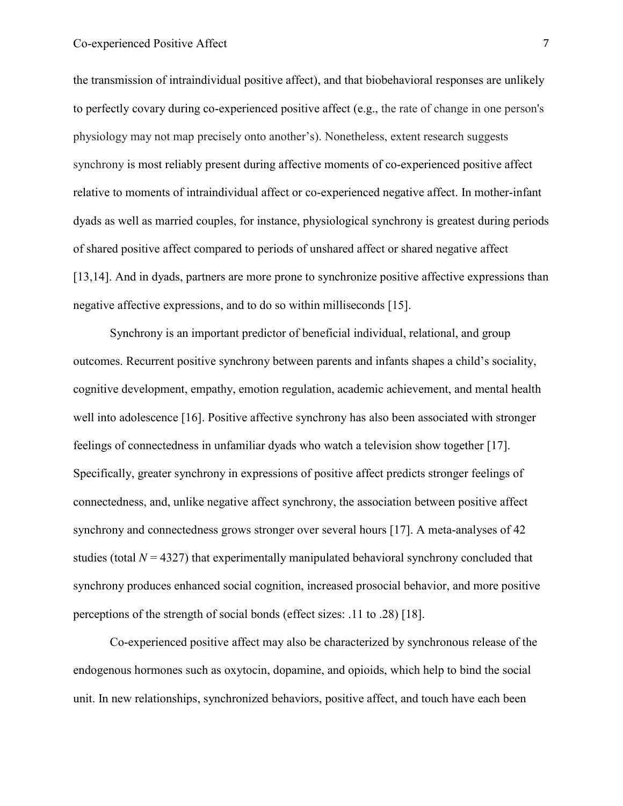the transmission of intraindividual positive affect), and that biobehavioral responses are unlikely to perfectly covary during co-experienced positive affect (e.g., the rate of change in one person's physiology may not map precisely onto another's). Nonetheless, extent research suggests synchrony is most reliably present during affective moments of co-experienced positive affect relative to moments of intraindividual affect or co-experienced negative affect. In mother-infant dyads as well as married couples, for instance, physiological synchrony is greatest during periods of shared positive affect compared to periods of unshared affect or shared negative affect [13,14]. And in dyads, partners are more prone to synchronize positive affective expressions than negative affective expressions, and to do so within milliseconds [15].

Synchrony is an important predictor of beneficial individual, relational, and group outcomes. Recurrent positive synchrony between parents and infants shapes a child's sociality, cognitive development, empathy, emotion regulation, academic achievement, and mental health well into adolescence [16]. Positive affective synchrony has also been associated with stronger feelings of connectedness in unfamiliar dyads who watch a television show together [17]. Specifically, greater synchrony in expressions of positive affect predicts stronger feelings of connectedness, and, unlike negative affect synchrony, the association between positive affect synchrony and connectedness grows stronger over several hours [17]. A meta-analyses of 42 studies (total  $N = 4327$ ) that experimentally manipulated behavioral synchrony concluded that synchrony produces enhanced social cognition, increased prosocial behavior, and more positive perceptions of the strength of social bonds (effect sizes: .11 to .28) [18].

Co-experienced positive affect may also be characterized by synchronous release of the endogenous hormones such as oxytocin, dopamine, and opioids, which help to bind the social unit. In new relationships, synchronized behaviors, positive affect, and touch have each been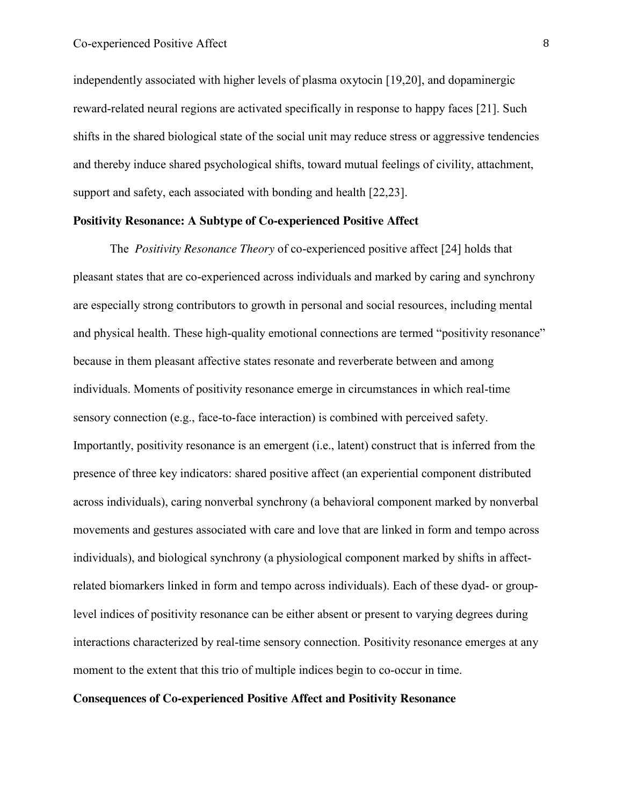independently associated with higher levels of plasma oxytocin [19,20], and dopaminergic reward-related neural regions are activated specifically in response to happy faces [21]. Such shifts in the shared biological state of the social unit may reduce stress or aggressive tendencies and thereby induce shared psychological shifts, toward mutual feelings of civility, attachment, support and safety, each associated with bonding and health [22,23].

# **Positivity Resonance: A Subtype of Co-experienced Positive Affect**

The *Positivity Resonance Theory* of co-experienced positive affect [24] holds that pleasant states that are co-experienced across individuals and marked by caring and synchrony are especially strong contributors to growth in personal and social resources, including mental and physical health. These high-quality emotional connections are termed "positivity resonance" because in them pleasant affective states resonate and reverberate between and among individuals. Moments of positivity resonance emerge in circumstances in which real-time sensory connection (e.g., face-to-face interaction) is combined with perceived safety. Importantly, positivity resonance is an emergent (i.e., latent) construct that is inferred from the presence of three key indicators: shared positive affect (an experiential component distributed across individuals), caring nonverbal synchrony (a behavioral component marked by nonverbal movements and gestures associated with care and love that are linked in form and tempo across individuals), and biological synchrony (a physiological component marked by shifts in affectrelated biomarkers linked in form and tempo across individuals). Each of these dyad- or grouplevel indices of positivity resonance can be either absent or present to varying degrees during interactions characterized by real-time sensory connection. Positivity resonance emerges at any moment to the extent that this trio of multiple indices begin to co-occur in time.

#### **Consequences of Co-experienced Positive Affect and Positivity Resonance**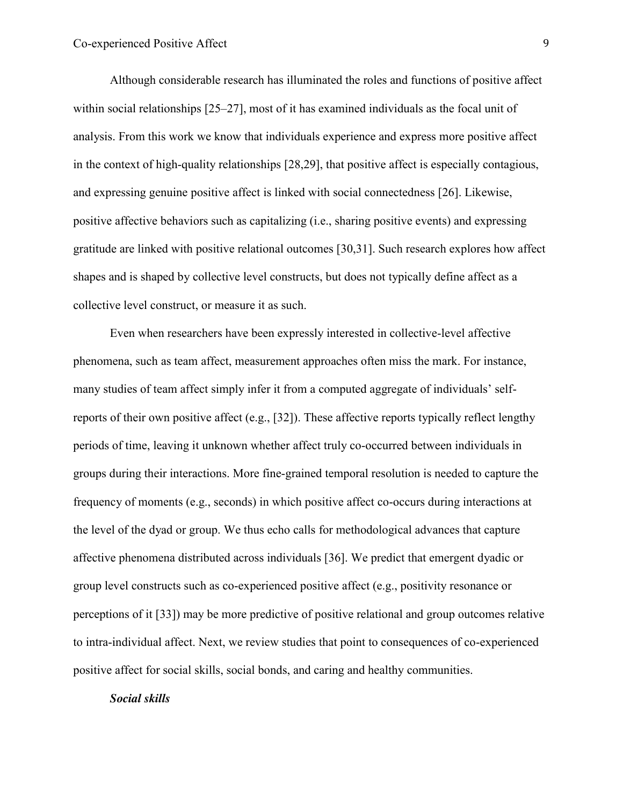Although considerable research has illuminated the roles and functions of positive affect within social relationships [25–27], most of it has examined individuals as the focal unit of analysis. From this work we know that individuals experience and express more positive affect in the context of high-quality relationships [28,29], that positive affect is especially contagious, and expressing genuine positive affect is linked with social connectedness [26]. Likewise, positive affective behaviors such as capitalizing (i.e., sharing positive events) and expressing gratitude are linked with positive relational outcomes [30,31]. Such research explores how affect shapes and is shaped by collective level constructs, but does not typically define affect as a collective level construct, or measure it as such.

Even when researchers have been expressly interested in collective-level affective phenomena, such as team affect, measurement approaches often miss the mark. For instance, many studies of team affect simply infer it from a computed aggregate of individuals' selfreports of their own positive affect (e.g.,  $[32]$ ). These affective reports typically reflect lengthy periods of time, leaving it unknown whether affect truly co-occurred between individuals in groups during their interactions. More fine-grained temporal resolution is needed to capture the frequency of moments (e.g., seconds) in which positive affect co-occurs during interactions at the level of the dyad or group. We thus echo calls for methodological advances that capture affective phenomena distributed across individuals [36]. We predict that emergent dyadic or group level constructs such as co-experienced positive affect (e.g., positivity resonance or perceptions of it [33]) may be more predictive of positive relational and group outcomes relative to intra-individual affect. Next, we review studies that point to consequences of co-experienced positive affect for social skills, social bonds, and caring and healthy communities.

#### *Social skills*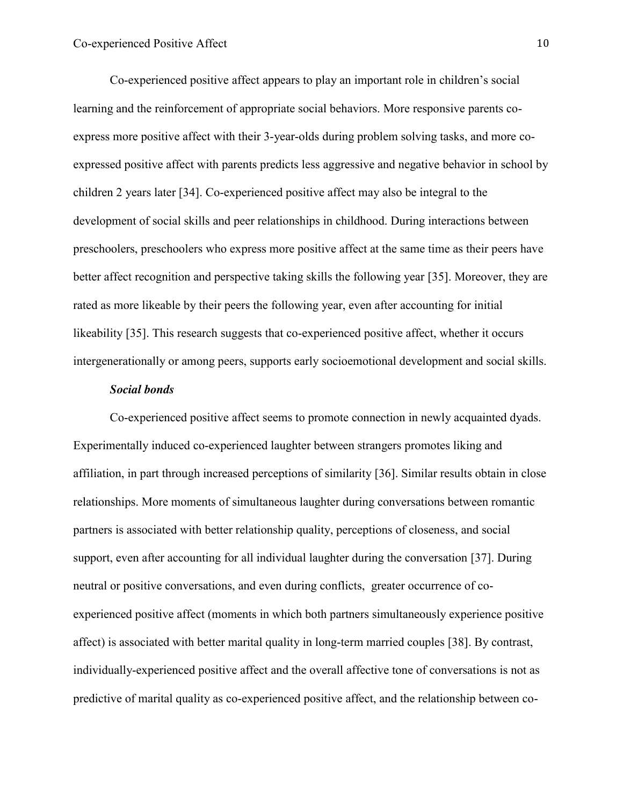Co-experienced positive affect appears to play an important role in children's social learning and the reinforcement of appropriate social behaviors. More responsive parents coexpress more positive affect with their 3-year-olds during problem solving tasks, and more coexpressed positive affect with parents predicts less aggressive and negative behavior in school by children 2 years later [34]. Co-experienced positive affect may also be integral to the development of social skills and peer relationships in childhood. During interactions between preschoolers, preschoolers who express more positive affect at the same time as their peers have better affect recognition and perspective taking skills the following year [35]. Moreover, they are rated as more likeable by their peers the following year, even after accounting for initial likeability [35]. This research suggests that co-experienced positive affect, whether it occurs intergenerationally or among peers, supports early socioemotional development and social skills.

#### *Social bonds*

Co-experienced positive affect seems to promote connection in newly acquainted dyads. Experimentally induced co-experienced laughter between strangers promotes liking and affiliation, in part through increased perceptions of similarity [36]. Similar results obtain in close relationships. More moments of simultaneous laughter during conversations between romantic partners is associated with better relationship quality, perceptions of closeness, and social support, even after accounting for all individual laughter during the conversation [37]. During neutral or positive conversations, and even during conflicts, greater occurrence of coexperienced positive affect (moments in which both partners simultaneously experience positive affect) is associated with better marital quality in long-term married couples [38]. By contrast, individually-experienced positive affect and the overall affective tone of conversations is not as predictive of marital quality as co-experienced positive affect, and the relationship between co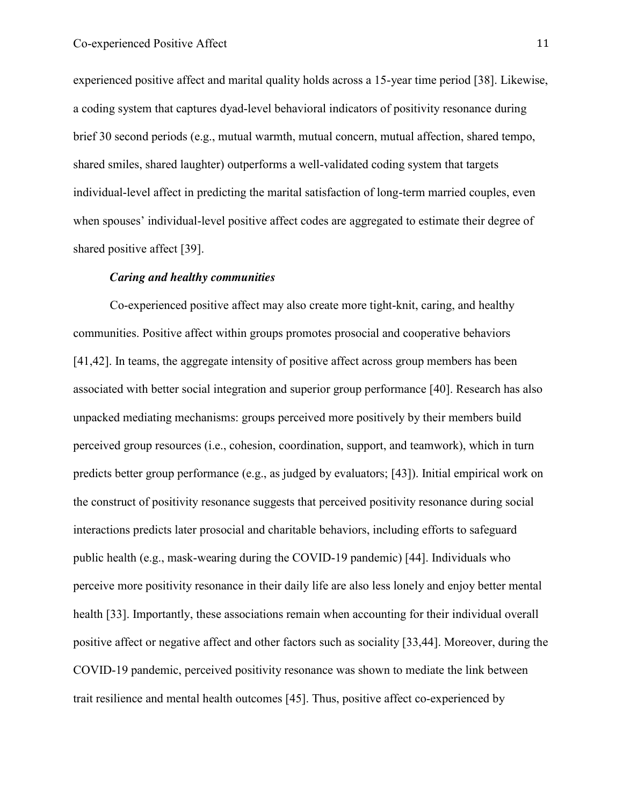experienced positive affect and marital quality holds across a 15-year time period [38]. Likewise, a coding system that captures dyad-level behavioral indicators of positivity resonance during brief 30 second periods (e.g., mutual warmth, mutual concern, mutual affection, shared tempo, shared smiles, shared laughter) outperforms a well-validated coding system that targets individual-level affect in predicting the marital satisfaction of long-term married couples, even when spouses' individual-level positive affect codes are aggregated to estimate their degree of shared positive affect [39].

#### *Caring and healthy communities*

Co-experienced positive affect may also create more tight-knit, caring, and healthy communities. Positive affect within groups promotes prosocial and cooperative behaviors [41,42]. In teams, the aggregate intensity of positive affect across group members has been associated with better social integration and superior group performance [40]. Research has also unpacked mediating mechanisms: groups perceived more positively by their members build perceived group resources (i.e., cohesion, coordination, support, and teamwork), which in turn predicts better group performance (e.g., as judged by evaluators; [43]). Initial empirical work on the construct of positivity resonance suggests that perceived positivity resonance during social interactions predicts later prosocial and charitable behaviors, including efforts to safeguard public health (e.g., mask-wearing during the COVID-19 pandemic) [44]. Individuals who perceive more positivity resonance in their daily life are also less lonely and enjoy better mental health [33]. Importantly, these associations remain when accounting for their individual overall positive affect or negative affect and other factors such as sociality [33,44]. Moreover, during the COVID-19 pandemic, perceived positivity resonance was shown to mediate the link between trait resilience and mental health outcomes [45]. Thus, positive affect co-experienced by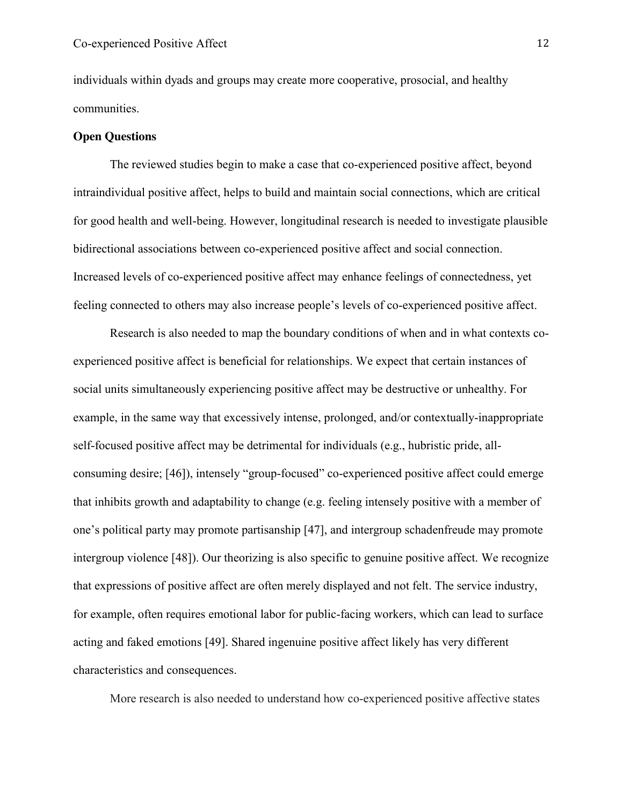individuals within dyads and groups may create more cooperative, prosocial, and healthy communities.

#### **Open Questions**

The reviewed studies begin to make a case that co-experienced positive affect, beyond intraindividual positive affect, helps to build and maintain social connections, which are critical for good health and well-being. However, longitudinal research is needed to investigate plausible bidirectional associations between co-experienced positive affect and social connection. Increased levels of co-experienced positive affect may enhance feelings of connectedness, yet feeling connected to others may also increase people's levels of co-experienced positive affect.

Research is also needed to map the boundary conditions of when and in what contexts coexperienced positive affect is beneficial for relationships. We expect that certain instances of social units simultaneously experiencing positive affect may be destructive or unhealthy. For example, in the same way that excessively intense, prolonged, and/or contextually-inappropriate self-focused positive affect may be detrimental for individuals (e.g., hubristic pride, allconsuming desire; [46]), intensely "group-focused" co-experienced positive affect could emerge that inhibits growth and adaptability to change (e.g. feeling intensely positive with a member of one's political party may promote partisanship [47], and intergroup schadenfreude may promote intergroup violence [48]). Our theorizing is also specific to genuine positive affect. We recognize that expressions of positive affect are often merely displayed and not felt. The service industry, for example, often requires emotional labor for public-facing workers, which can lead to surface acting and faked emotions [49]. Shared ingenuine positive affect likely has very different characteristics and consequences.

More research is also needed to understand how co-experienced positive affective states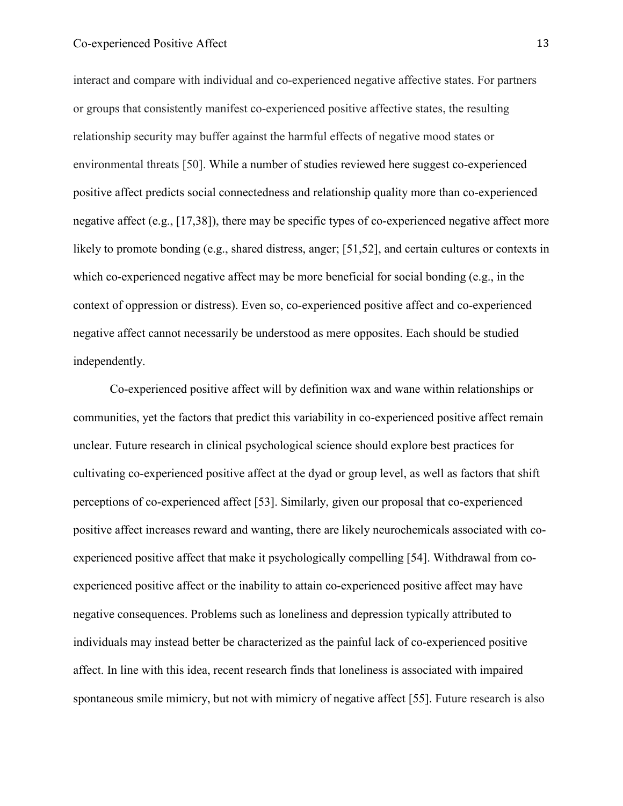interact and compare with individual and co-experienced negative affective states. For partners or groups that consistently manifest co-experienced positive affective states, the resulting relationship security may buffer against the harmful effects of negative mood states or environmental threats [50]. While a number of studies reviewed here suggest co-experienced positive affect predicts social connectedness and relationship quality more than co-experienced negative affect (e.g., [17,38]), there may be specific types of co-experienced negative affect more likely to promote bonding (e.g., shared distress, anger; [51,52], and certain cultures or contexts in which co-experienced negative affect may be more beneficial for social bonding (e.g., in the context of oppression or distress). Even so, co-experienced positive affect and co-experienced negative affect cannot necessarily be understood as mere opposites. Each should be studied independently.

Co-experienced positive affect will by definition wax and wane within relationships or communities, yet the factors that predict this variability in co-experienced positive affect remain unclear. Future research in clinical psychological science should explore best practices for cultivating co-experienced positive affect at the dyad or group level, as well as factors that shift perceptions of co-experienced affect [53]. Similarly, given our proposal that co-experienced positive affect increases reward and wanting, there are likely neurochemicals associated with coexperienced positive affect that make it psychologically compelling [54]. Withdrawal from coexperienced positive affect or the inability to attain co-experienced positive affect may have negative consequences. Problems such as loneliness and depression typically attributed to individuals may instead better be characterized as the painful lack of co-experienced positive affect. In line with this idea, recent research finds that loneliness is associated with impaired spontaneous smile mimicry, but not with mimicry of negative affect [55]. Future research is also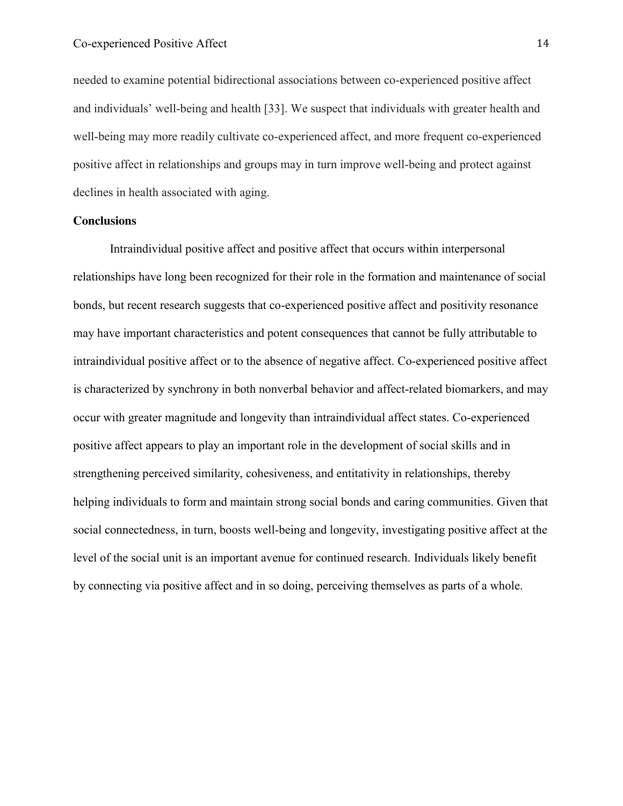needed to examine potential bidirectional associations between co-experienced positive affect and individuals' well-being and health [33]. We suspect that individuals with greater health and well-being may more readily cultivate co-experienced affect, and more frequent co-experienced positive affect in relationships and groups may in turn improve well-being and protect against declines in health associated with aging.

#### **Conclusions**

Intraindividual positive affect and positive affect that occurs within interpersonal relationships have long been recognized for their role in the formation and maintenance of social bonds, but recent research suggests that co-experienced positive affect and positivity resonance may have important characteristics and potent consequences that cannot be fully attributable to intraindividual positive affect or to the absence of negative affect. Co-experienced positive affect is characterized by synchrony in both nonverbal behavior and affect-related biomarkers, and may occur with greater magnitude and longevity than intraindividual affect states. Co-experienced positive affect appears to play an important role in the development of social skills and in strengthening perceived similarity, cohesiveness, and entitativity in relationships, thereby helping individuals to form and maintain strong social bonds and caring communities. Given that social connectedness, in turn, boosts well-being and longevity, investigating positive affect at the level of the social unit is an important avenue for continued research. Individuals likely benefit by connecting via positive affect and in so doing, perceiving themselves as parts of a whole.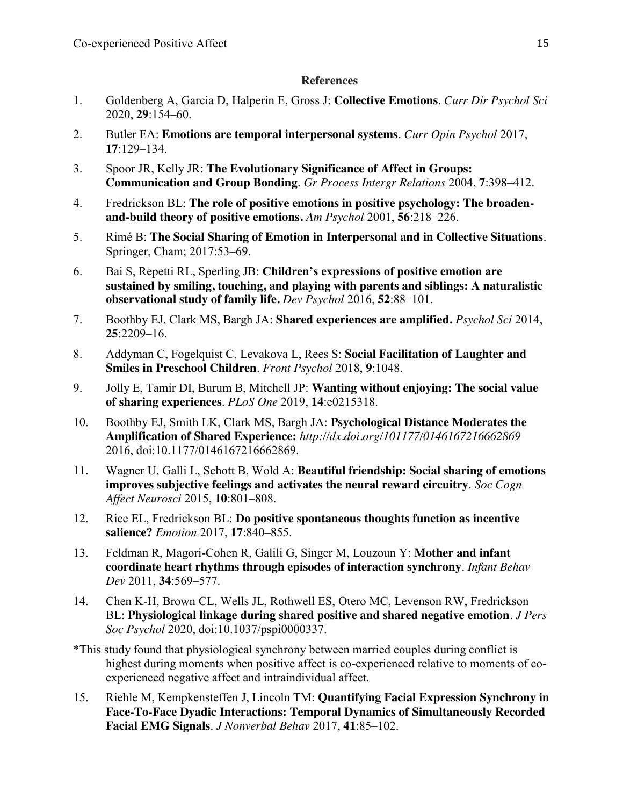# **References**

- 1. Goldenberg A, Garcia D, Halperin E, Gross J: **Collective Emotions**. *Curr Dir Psychol Sci* 2020, **29**:154–60.
- 2. Butler EA: **Emotions are temporal interpersonal systems**. *Curr Opin Psychol* 2017, **17**:129–134.
- 3. Spoor JR, Kelly JR: **The Evolutionary Significance of Affect in Groups: Communication and Group Bonding**. *Gr Process Intergr Relations* 2004, **7**:398–412.
- 4. Fredrickson BL: **The role of positive emotions in positive psychology: The broadenand-build theory of positive emotions.** *Am Psychol* 2001, **56**:218–226.
- 5. Rimé B: **The Social Sharing of Emotion in Interpersonal and in Collective Situations**. Springer, Cham; 2017:53–69.
- 6. Bai S, Repetti RL, Sperling JB: **Children's expressions of positive emotion are sustained by smiling, touching, and playing with parents and siblings: A naturalistic observational study of family life.** *Dev Psychol* 2016, **52**:88–101.
- 7. Boothby EJ, Clark MS, Bargh JA: **Shared experiences are amplified.** *Psychol Sci* 2014, **25**:2209–16.
- 8. Addyman C, Fogelquist C, Levakova L, Rees S: **Social Facilitation of Laughter and Smiles in Preschool Children**. *Front Psychol* 2018, **9**:1048.
- 9. Jolly E, Tamir DI, Burum B, Mitchell JP: **Wanting without enjoying: The social value of sharing experiences**. *PLoS One* 2019, **14**:e0215318.
- 10. Boothby EJ, Smith LK, Clark MS, Bargh JA: **Psychological Distance Moderates the Amplification of Shared Experience:** *http://dx.doi.org/101177/0146167216662869* 2016, doi:10.1177/0146167216662869.
- 11. Wagner U, Galli L, Schott B, Wold A: **Beautiful friendship: Social sharing of emotions improves subjective feelings and activates the neural reward circuitry**. *Soc Cogn Affect Neurosci* 2015, **10**:801–808.
- 12. Rice EL, Fredrickson BL: **Do positive spontaneous thoughts function as incentive salience?** *Emotion* 2017, **17**:840–855.
- 13. Feldman R, Magori-Cohen R, Galili G, Singer M, Louzoun Y: **Mother and infant coordinate heart rhythms through episodes of interaction synchrony**. *Infant Behav Dev* 2011, **34**:569–577.
- 14. Chen K-H, Brown CL, Wells JL, Rothwell ES, Otero MC, Levenson RW, Fredrickson BL: **Physiological linkage during shared positive and shared negative emotion**. *J Pers Soc Psychol* 2020, doi:10.1037/pspi0000337.
- \*This study found that physiological synchrony between married couples during conflict is highest during moments when positive affect is co-experienced relative to moments of coexperienced negative affect and intraindividual affect.
- 15. Riehle M, Kempkensteffen J, Lincoln TM: **Quantifying Facial Expression Synchrony in Face-To-Face Dyadic Interactions: Temporal Dynamics of Simultaneously Recorded Facial EMG Signals**. *J Nonverbal Behav* 2017, **41**:85–102.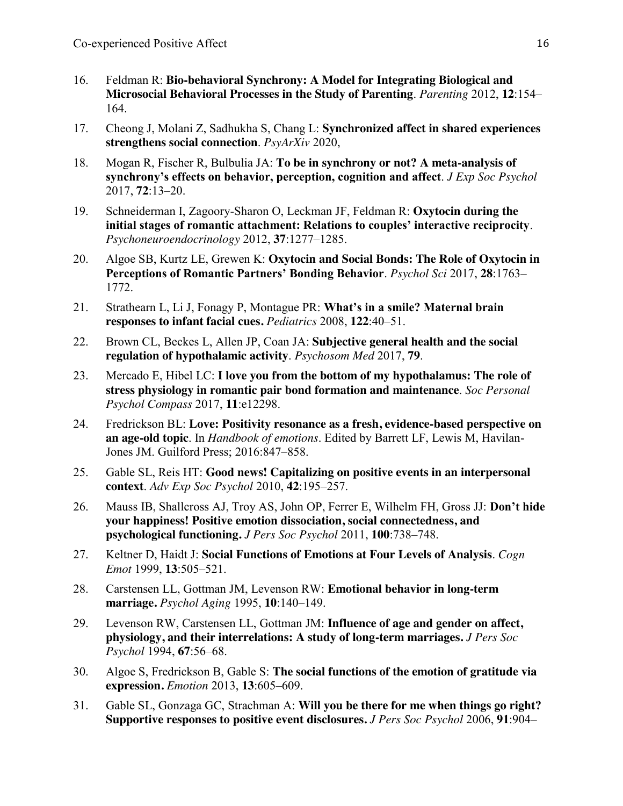- 16. Feldman R: **Bio-behavioral Synchrony: A Model for Integrating Biological and Microsocial Behavioral Processes in the Study of Parenting**. *Parenting* 2012, **12**:154– 164.
- 17. Cheong J, Molani Z, Sadhukha S, Chang L: **Synchronized affect in shared experiences strengthens social connection**. *PsyArXiv* 2020,
- 18. Mogan R, Fischer R, Bulbulia JA: **To be in synchrony or not? A meta-analysis of synchrony's effects on behavior, perception, cognition and affect**. *J Exp Soc Psychol* 2017, **72**:13–20.
- 19. Schneiderman I, Zagoory-Sharon O, Leckman JF, Feldman R: **Oxytocin during the initial stages of romantic attachment: Relations to couples' interactive reciprocity**. *Psychoneuroendocrinology* 2012, **37**:1277–1285.
- 20. Algoe SB, Kurtz LE, Grewen K: **Oxytocin and Social Bonds: The Role of Oxytocin in Perceptions of Romantic Partners' Bonding Behavior**. *Psychol Sci* 2017, **28**:1763– 1772.
- 21. Strathearn L, Li J, Fonagy P, Montague PR: **What's in a smile? Maternal brain responses to infant facial cues.** *Pediatrics* 2008, **122**:40–51.
- 22. Brown CL, Beckes L, Allen JP, Coan JA: **Subjective general health and the social regulation of hypothalamic activity**. *Psychosom Med* 2017, **79**.
- 23. Mercado E, Hibel LC: **I love you from the bottom of my hypothalamus: The role of stress physiology in romantic pair bond formation and maintenance**. *Soc Personal Psychol Compass* 2017, **11**:e12298.
- 24. Fredrickson BL: **Love: Positivity resonance as a fresh, evidence-based perspective on an age-old topic**. In *Handbook of emotions*. Edited by Barrett LF, Lewis M, Havilan-Jones JM. Guilford Press; 2016:847–858.
- 25. Gable SL, Reis HT: **Good news! Capitalizing on positive events in an interpersonal context**. *Adv Exp Soc Psychol* 2010, **42**:195–257.
- 26. Mauss IB, Shallcross AJ, Troy AS, John OP, Ferrer E, Wilhelm FH, Gross JJ: **Don't hide your happiness! Positive emotion dissociation, social connectedness, and psychological functioning.** *J Pers Soc Psychol* 2011, **100**:738–748.
- 27. Keltner D, Haidt J: **Social Functions of Emotions at Four Levels of Analysis**. *Cogn Emot* 1999, **13**:505–521.
- 28. Carstensen LL, Gottman JM, Levenson RW: **Emotional behavior in long-term marriage.** *Psychol Aging* 1995, **10**:140–149.
- 29. Levenson RW, Carstensen LL, Gottman JM: **Influence of age and gender on affect, physiology, and their interrelations: A study of long-term marriages.** *J Pers Soc Psychol* 1994, **67**:56–68.
- 30. Algoe S, Fredrickson B, Gable S: **The social functions of the emotion of gratitude via expression.** *Emotion* 2013, **13**:605–609.
- 31. Gable SL, Gonzaga GC, Strachman A: **Will you be there for me when things go right? Supportive responses to positive event disclosures.** *J Pers Soc Psychol* 2006, **91**:904–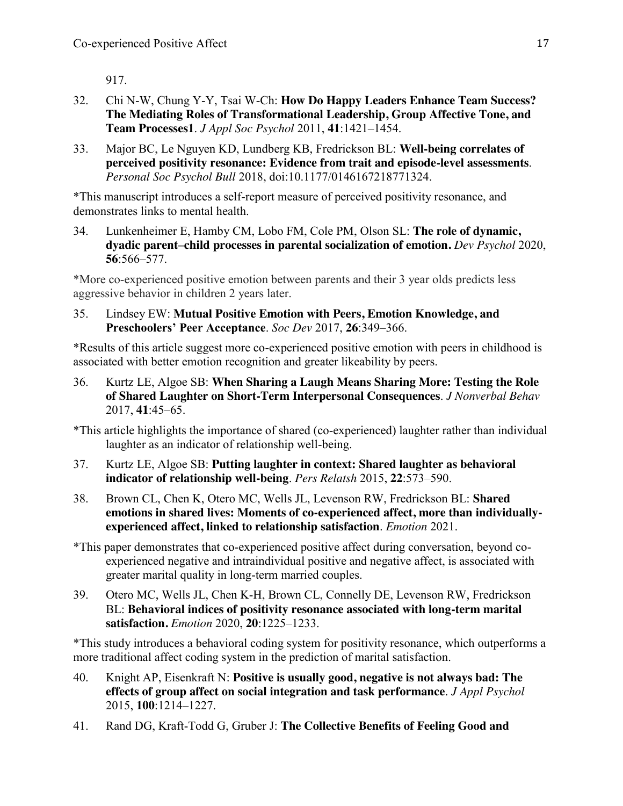917.

- 32. Chi N-W, Chung Y-Y, Tsai W-Ch: **How Do Happy Leaders Enhance Team Success? The Mediating Roles of Transformational Leadership, Group Affective Tone, and Team Processes1**. *J Appl Soc Psychol* 2011, **41**:1421–1454.
- 33. Major BC, Le Nguyen KD, Lundberg KB, Fredrickson BL: **Well-being correlates of perceived positivity resonance: Evidence from trait and episode-level assessments**. *Personal Soc Psychol Bull* 2018, doi:10.1177/0146167218771324.

\*This manuscript introduces a self-report measure of perceived positivity resonance, and demonstrates links to mental health.

34. Lunkenheimer E, Hamby CM, Lobo FM, Cole PM, Olson SL: **The role of dynamic, dyadic parent–child processes in parental socialization of emotion.** *Dev Psychol* 2020, **56**:566–577.

\*More co-experienced positive emotion between parents and their 3 year olds predicts less aggressive behavior in children 2 years later.

35. Lindsey EW: **Mutual Positive Emotion with Peers, Emotion Knowledge, and Preschoolers' Peer Acceptance**. *Soc Dev* 2017, **26**:349–366.

\*Results of this article suggest more co-experienced positive emotion with peers in childhood is associated with better emotion recognition and greater likeability by peers.

36. Kurtz LE, Algoe SB: **When Sharing a Laugh Means Sharing More: Testing the Role of Shared Laughter on Short-Term Interpersonal Consequences**. *J Nonverbal Behav* 2017, **41**:45–65.

\*This article highlights the importance of shared (co-experienced) laughter rather than individual laughter as an indicator of relationship well-being.

- 37. Kurtz LE, Algoe SB: **Putting laughter in context: Shared laughter as behavioral indicator of relationship well-being**. *Pers Relatsh* 2015, **22**:573–590.
- 38. Brown CL, Chen K, Otero MC, Wells JL, Levenson RW, Fredrickson BL: **Shared emotions in shared lives: Moments of co-experienced affect, more than individuallyexperienced affect, linked to relationship satisfaction**. *Emotion* 2021.
- \*This paper demonstrates that co-experienced positive affect during conversation, beyond coexperienced negative and intraindividual positive and negative affect, is associated with greater marital quality in long-term married couples.
- 39. Otero MC, Wells JL, Chen K-H, Brown CL, Connelly DE, Levenson RW, Fredrickson BL: **Behavioral indices of positivity resonance associated with long-term marital satisfaction.** *Emotion* 2020, **20**:1225–1233.

\*This study introduces a behavioral coding system for positivity resonance, which outperforms a more traditional affect coding system in the prediction of marital satisfaction.

- 40. Knight AP, Eisenkraft N: **Positive is usually good, negative is not always bad: The effects of group affect on social integration and task performance**. *J Appl Psychol* 2015, **100**:1214–1227.
- 41. Rand DG, Kraft-Todd G, Gruber J: **The Collective Benefits of Feeling Good and**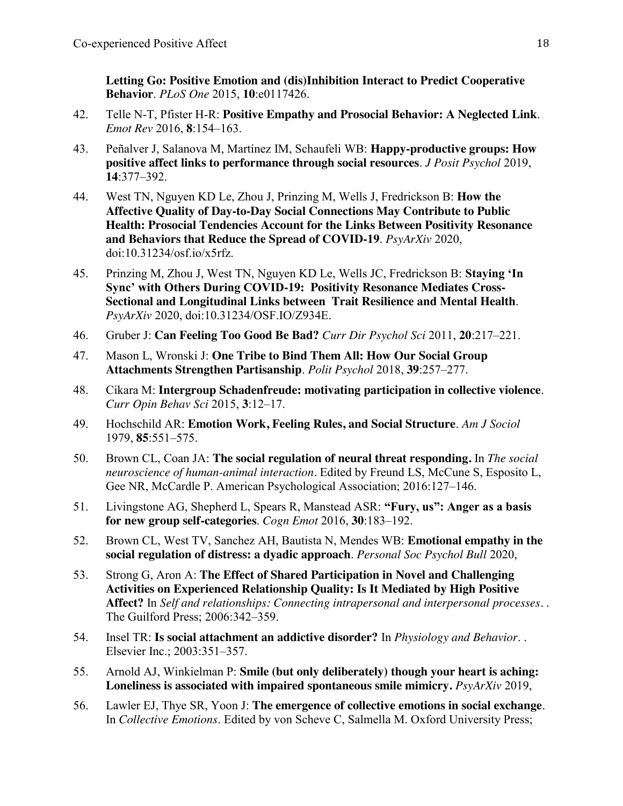**Letting Go: Positive Emotion and (dis)Inhibition Interact to Predict Cooperative Behavior**. *PLoS One* 2015, **10**:e0117426.

- 42. Telle N-T, Pfister H-R: **Positive Empathy and Prosocial Behavior: A Neglected Link**. *Emot Rev* 2016, **8**:154–163.
- 43. Peñalver J, Salanova M, Martínez IM, Schaufeli WB: **Happy-productive groups: How positive affect links to performance through social resources**. *J Posit Psychol* 2019, **14**:377–392.
- 44. West TN, Nguyen KD Le, Zhou J, Prinzing M, Wells J, Fredrickson B: **How the Affective Quality of Day-to-Day Social Connections May Contribute to Public Health: Prosocial Tendencies Account for the Links Between Positivity Resonance and Behaviors that Reduce the Spread of COVID-19**. *PsyArXiv* 2020, doi:10.31234/osf.io/x5rfz.
- 45. Prinzing M, Zhou J, West TN, Nguyen KD Le, Wells JC, Fredrickson B: **Staying 'In Sync' with Others During COVID-19: Positivity Resonance Mediates Cross-Sectional and Longitudinal Links between Trait Resilience and Mental Health**. *PsyArXiv* 2020, doi:10.31234/OSF.IO/Z934E.
- 46. Gruber J: **Can Feeling Too Good Be Bad?** *Curr Dir Psychol Sci* 2011, **20**:217–221.
- 47. Mason L, Wronski J: **One Tribe to Bind Them All: How Our Social Group Attachments Strengthen Partisanship**. *Polit Psychol* 2018, **39**:257–277.
- 48. Cikara M: **Intergroup Schadenfreude: motivating participation in collective violence**. *Curr Opin Behav Sci* 2015, **3**:12–17.
- 49. Hochschild AR: **Emotion Work, Feeling Rules, and Social Structure**. *Am J Sociol* 1979, **85**:551–575.
- 50. Brown CL, Coan JA: **The social regulation of neural threat responding.** In *The social neuroscience of human-animal interaction.* Edited by Freund LS, McCune S, Esposito L, Gee NR, McCardle P. American Psychological Association; 2016:127–146.
- 51. Livingstone AG, Shepherd L, Spears R, Manstead ASR: **"Fury, us": Anger as a basis for new group self-categories**. *Cogn Emot* 2016, **30**:183–192.
- 52. Brown CL, West TV, Sanchez AH, Bautista N, Mendes WB: **Emotional empathy in the social regulation of distress: a dyadic approach**. *Personal Soc Psychol Bull* 2020,
- 53. Strong G, Aron A: **The Effect of Shared Participation in Novel and Challenging Activities on Experienced Relationship Quality: Is It Mediated by High Positive Affect?** In *Self and relationships: Connecting intrapersonal and interpersonal processes.* . The Guilford Press; 2006:342–359.
- 54. Insel TR: **Is social attachment an addictive disorder?** In *Physiology and Behavior*. . Elsevier Inc.; 2003:351–357.
- 55. Arnold AJ, Winkielman P: **Smile (but only deliberately) though your heart is aching: Loneliness is associated with impaired spontaneous smile mimicry.** *PsyArXiv* 2019,
- 56. Lawler EJ, Thye SR, Yoon J: **The emergence of collective emotions in social exchange**. In *Collective Emotions*. Edited by von Scheve C, Salmella M. Oxford University Press;